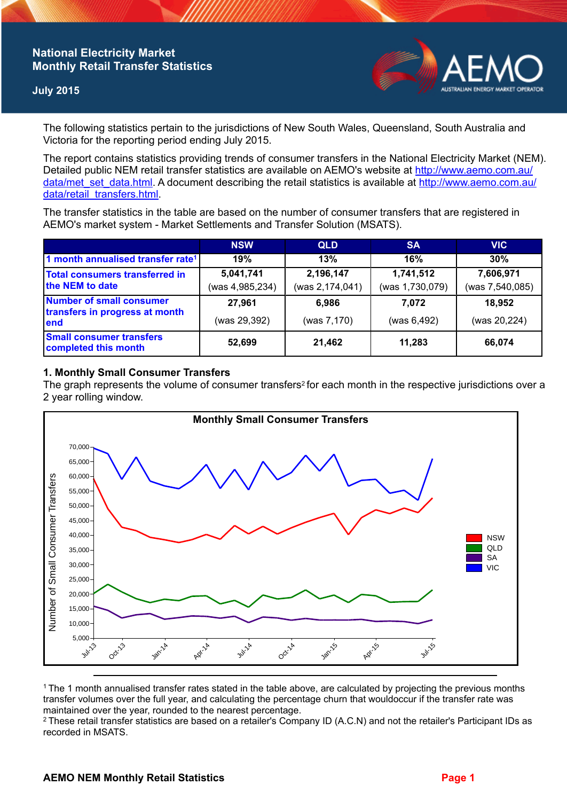# **National Electricity Market Monthly Retail Transfer Statistics**

### **July 2015**



The following statistics pertain to the jurisdictions of New South Wales, Queensland, South Australia and Victoria for the reporting period ending July 2015.

The report contains statistics providing trends of consumer transfers in the National Electricity Market (NEM). Detailed public NEM retail transfer statistics are available on AEMO's website at [http://www.aemo.com.au/](http://www.aemo.com.au/data/met_set_data.html) [data/met\\_set\\_data.html](http://www.aemo.com.au/data/met_set_data.html). A document describing the retail statistics is available at [http://www.aemo.com.au/](http://www.aemo.com.au/data/retail_transfers.html) [data/retail\\_transfers.html](http://www.aemo.com.au/data/retail_transfers.html).

The transfer statistics in the table are based on the number of consumer transfers that are registered in AEMO's market system - Market Settlements and Transfer Solution (MSATS).

|                                                                    | <b>NSW</b>                   | <b>QLD</b>                   | <b>SA</b>                    | <b>VIC</b>                   |
|--------------------------------------------------------------------|------------------------------|------------------------------|------------------------------|------------------------------|
| 1 month annualised transfer rate <sup>1</sup>                      | 19%                          | 13%                          | 16%                          | 30%                          |
| Total consumers transferred in<br>the NEM to date                  | 5,041,741<br>(was 4,985,234) | 2,196,147<br>(was 2,174,041) | 1,741,512<br>(was 1,730,079) | 7,606,971<br>(was 7,540,085) |
| Number of small consumer<br>transfers in progress at month<br>lend | 27.961                       | 6.986                        | 7.072                        | 18,952                       |
|                                                                    | (was 29,392)                 | (was 7,170)                  | (was 6,492)                  | (was 20,224)                 |
| <b>Small consumer transfers</b><br>completed this month            | 52,699                       | 21,462                       | 11,283                       | 66,074                       |

### **1. Monthly Small Consumer Transfers**

The graph represents the volume of consumer transfers<sup>2</sup> for each month in the respective jurisdictions over a 2 year rolling window.



<sup>1</sup>The 1 month annualised transfer rates stated in the table above, are calculated by projecting the previous months transfer volumes over the full year, and calculating the percentage churn that wouldoccur if the transfer rate was maintained over the year, rounded to the nearest percentage.

<sup>2</sup> These retail transfer statistics are based on a retailer's Company ID (A.C.N) and not the retailer's Participant IDs as recorded in MSATS.